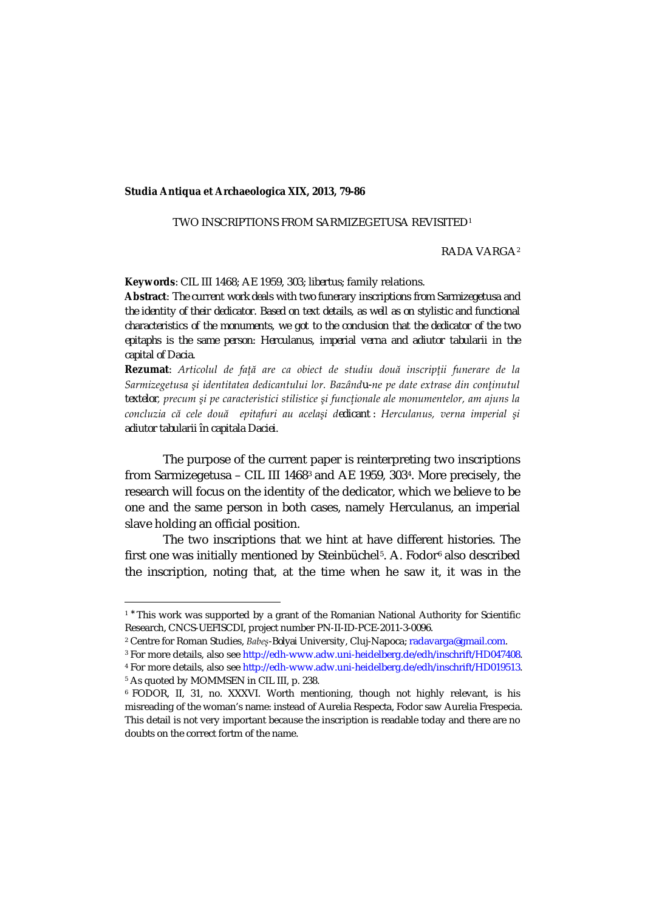## **Studia Antiqua et Archaeologica XIX, 2013, 79-86**

## TWO INSCRIPTIONS FROM SARMIZEGETUSA REVISITED1

## RADA VARGA2

**Keywords**: CIL III 1468; AE 1959, 303; *libertus*; family relations.

**Abstract**: *The current work deals with two funerary inscriptions from Sarmizegetusa and the identity of their dedicator. Based on text details, as well as on stylistic and functional characteristics of the monuments, we got to the conclusion that the dedicator of the two epitaphs is the same person: Herculanus, imperial verna and adiutor tabularii in the capital of Dacia.*

**Rezumat**: *Articolul de faţă are ca obiect de studiu două inscripţii funerare de la Sarmizegetusa şi identitatea dedicantului lor. Bazându-ne pe date extrase din conţinutul textelor, precum şi pe caracteristici stilistice şi funcţionale ale monumentelor, am ajuns la concluzia că cele două epitafuri au acelaşi dedicant : Herculanus, verna imperial şi adiutor tabularii în capitala Daciei.*

The purpose of the current paper is reinterpreting two inscriptions from Sarmizegetusa – CIL III 14683 and AE 1959, 3034. More precisely, the research will focus on the identity of the dedicator, which we believe to be one and the same person in both cases, namely Herculanus, an imperial slave holding an official position.

The two inscriptions that we hint at have different histories. The first one was initially mentioned by Steinbüchel<sup>5</sup>. A. Fodor<sup>6</sup> also described the inscription, noting that, at the time when he saw it, it was in the

<sup>4</sup> For more details, also see http://edh-www.adw.uni-heidelberg.de/edh/inschrift/HD019513.

<sup>5</sup> As quoted by MOMMSEN in CIL III, p. 238.

 $\overline{a}$ 

 $1<sup>*</sup>$  This work was supported by a grant of the Romanian National Authority for Scientific Research, CNCS-UEFISCDI, project number PN-II-ID-PCE-2011-3-0096.

<sup>2</sup> Centre for Roman Studies, *Babeş-Bolyai* University, Cluj-Napoca; radavarga@gmail.com.

<sup>&</sup>lt;sup>3</sup> For more details, also see http://edh-www.adw.uni-heidelberg.de/edh/inschrift/HD047408.

<sup>6</sup> FODOR, II, 31, no. XXXVI. Worth mentioning, though not highly relevant, is his misreading of the woman's name: instead of Aurelia Respecta, Fodor saw Aurelia Frespecia. This detail is not very important because the inscription is readable today and there are no doubts on the correct fortm of the name.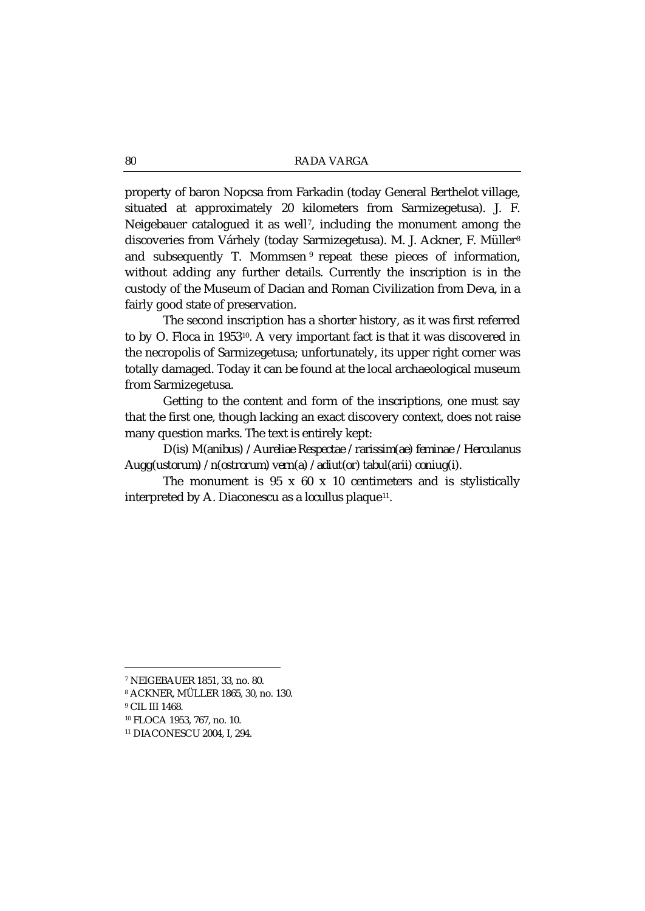property of baron Nopcsa from Farkadin (today General Berthelot village, situated at approximately 20 kilometers from Sarmizegetusa). J. F. Neigebauer catalogued it as well7, including the monument among the discoveries from Várhely (today Sarmizegetusa). M. J. Ackner, F. Müller<sup>8</sup> and subsequently T. Mommsen <sup>9</sup> repeat these pieces of information, without adding any further details. Currently the inscription is in the custody of the Museum of Dacian and Roman Civilization from Deva, in a fairly good state of preservation.

The second inscription has a shorter history, as it was first referred to by O. Floca in 1953<sup>10</sup>. A very important fact is that it was discovered in the necropolis of Sarmizegetusa; unfortunately, its upper right corner was totally damaged. Today it can be found at the local archaeological museum from Sarmizegetusa.

Getting to the content and form of the inscriptions, one must say that the first one, though lacking an exact discovery context, does not raise many question marks. The text is entirely kept:

*D(is) M(anibus) / Aureliae Respectae / rarissim(ae) feminae / Herculanus Augg(ustorum) / n(ostrorum) vern(a) / adiut(or) tabul(arii) coniug(i).*

The monument is 95 x 60 x 10 centimeters and is stylistically interpreted by A. Diaconescu as a *locullus* plaque<sup>11</sup>.

 $\overline{a}$ 

<sup>7</sup> NEIGEBAUER 1851, 33, no. 80.

<sup>8</sup> ACKNER, MÜLLER 1865, 30, no. 130.

<sup>&</sup>lt;sup>9</sup> CIL III 1468.

<sup>10</sup> FLOCA 1953, 767, no. 10.

<sup>11</sup> DIACONESCU 2004, I, 294.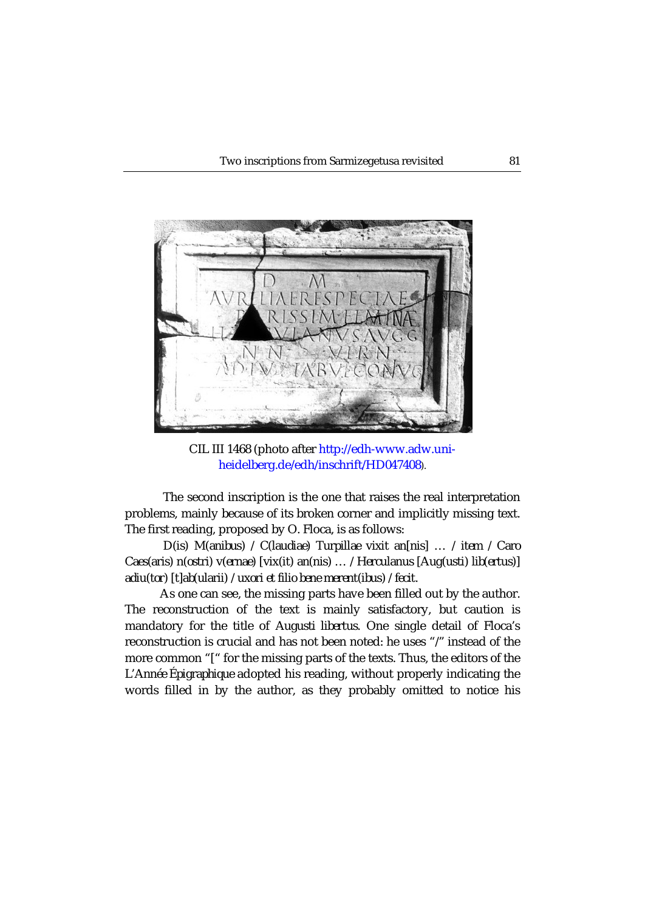

CIL III 1468 (photo after http://edh-www.adw.uniheidelberg.de/edh/inschrift/HD047408).

The second inscription is the one that raises the real interpretation problems, mainly because of its broken corner and implicitly missing text. The first reading, proposed by O. Floca, is as follows:

*D(is) M(anibus) / C(laudiae) Turpillae vixit an[nis] … / item / Caro Caes(aris) n(ostri) v(ernae) [vix(it) an(nis) … / Herculanus [Aug(usti) lib(ertus)] adiu(tor) [t]ab(ularii) / uxori et filio bene merent(ibus) / fecit.*

As one can see, the missing parts have been filled out by the author. The reconstruction of the text is mainly satisfactory, but caution is mandatory for the title of *Augusti libertus.* One single detail of Floca's reconstruction is crucial and has not been noted: he uses "*/"* instead of the more common "/" for the missing parts of the texts. Thus, the editors of the *L'Année Épigraphique* adopted his reading, without properly indicating the words filled in by the author, as they probably omitted to notice his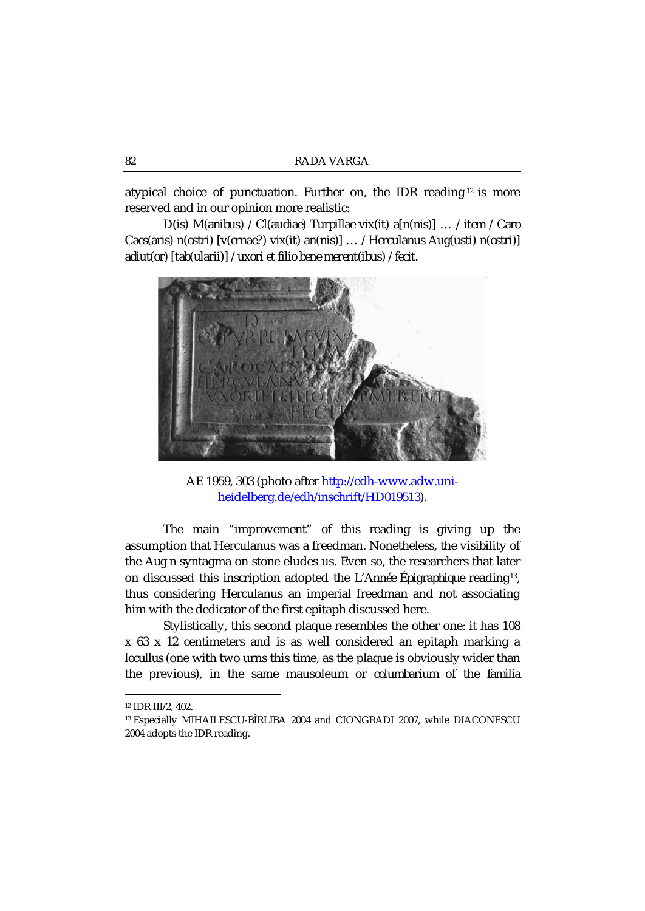atypical choice of punctuation. Further on, the IDR reading  $12$  is more reserved and in our opinion more realistic:

*D(is) M(anibus) / Cl(audiae) Turpillae vix(it) a[n(nis)] … / item / Caro Caes(aris) n(ostri) [v(ernae?) vix(it) an(nis)] … / Herculanus Aug(usti) n(ostri)] adiut(or) [tab(ularii)] / uxori et filio bene merent(ibus) / fecit.*



AE 1959, 303 (photo after http://edh-www.adw.uniheidelberg.de/edh/inschrift/HD019513).

The main "improvement" of this reading is giving up the assumption that Herculanus was a freedman. Nonetheless, the visibility of the *Aug n* syntagma on stone eludes us. Even so, the researchers that later on discussed this inscription adopted the *L'Année Épigraphique* reading13, thus considering Herculanus an imperial freedman and not associating him with the dedicator of the first epitaph discussed here.

Stylistically, this second plaque resembles the other one: it has 108 x 63 x 12 centimeters and is as well considered an epitaph marking a *locullus* (one with two urns this time, as the plaque is obviously wider than the previous), in the same mausoleum or *columbarium* of the *familia* 

 $\overline{a}$ 

<sup>12</sup> IDR III/2, 402.

<sup>13</sup> Especially MIHAILESCU-BÎRLIBA 2004 and CIONGRADI 2007, while DIACONESCU 2004 adopts the IDR reading.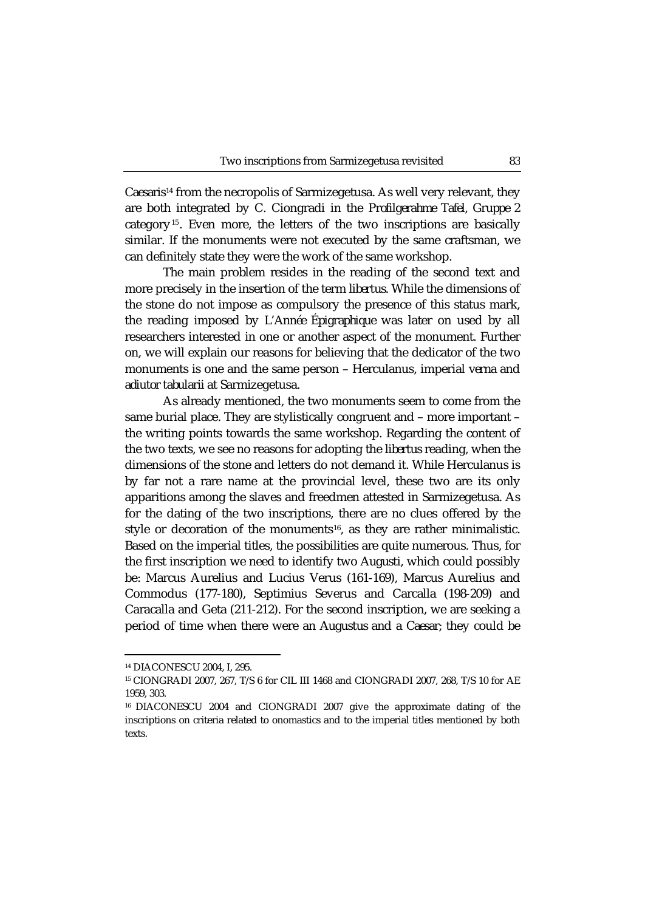*Caesaris*<sup>14</sup> from the necropolis of Sarmizegetusa. As well very relevant, they are both integrated by C. Ciongradi in the *Profilgerahme Tafel, Gruppe 2*  category15. Even more, the letters of the two inscriptions are basically similar. If the monuments were not executed by the same craftsman, we can definitely state they were the work of the same workshop.

The main problem resides in the reading of the second text and more precisely in the insertion of the term *libertus*. While the dimensions of the stone do not impose as compulsory the presence of this status mark, the reading imposed by *L'Année Épigraphique* was later on used by all researchers interested in one or another aspect of the monument. Further on, we will explain our reasons for believing that the dedicator of the two monuments is one and the same person – Herculanus, imperial *verna* and *adiutor tabularii* at Sarmizegetusa.

As already mentioned, the two monuments seem to come from the same burial place. They are stylistically congruent and – more important – the writing points towards the same workshop. Regarding the content of the two texts, we see no reasons for adopting the *libertus* reading, when the dimensions of the stone and letters do not demand it. While Herculanus is by far not a rare name at the provincial level, these two are its only apparitions among the slaves and freedmen attested in Sarmizegetusa. As for the dating of the two inscriptions, there are no clues offered by the style or decoration of the monuments<sup>16</sup>, as they are rather minimalistic. Based on the imperial titles, the possibilities are quite numerous. Thus, for the first inscription we need to identify two *Augusti*, which could possibly be: Marcus Aurelius and Lucius Verus (161-169), Marcus Aurelius and Commodus (177-180), Septimius Severus and Carcalla (198-209) and Caracalla and Geta (211-212). For the second inscription, we are seeking a period of time when there were an *Augustus* and a *Caesar*; they could be

**.** 

<sup>14</sup> DIACONESCU 2004, I, 295.

<sup>15</sup> CIONGRADI 2007, 267, T/S 6 for CIL III 1468 and CIONGRADI 2007, 268, T/S 10 for AE 1959, 303.

<sup>16</sup> DIACONESCU 2004 and CIONGRADI 2007 give the approximate dating of the inscriptions on criteria related to onomastics and to the imperial titles mentioned by both texts.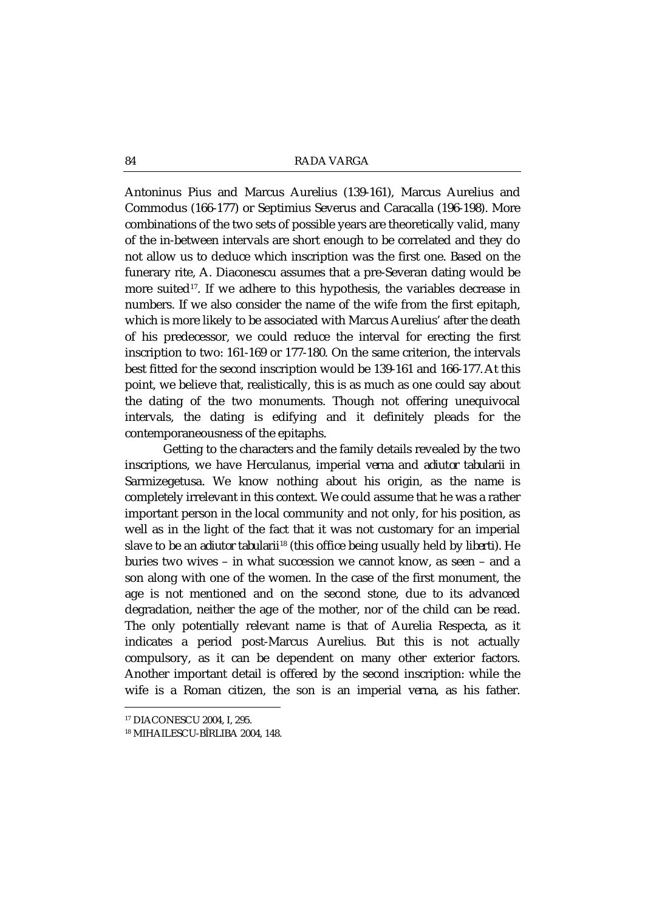Antoninus Pius and Marcus Aurelius (139-161), Marcus Aurelius and Commodus (166-177) or Septimius Severus and Caracalla (196-198). More combinations of the two sets of possible years are theoretically valid, many of the in-between intervals are short enough to be correlated and they do not allow us to deduce which inscription was the first one. Based on the funerary rite, A. Diaconescu assumes that a pre-Severan dating would be more suited<sup>17</sup>. If we adhere to this hypothesis, the variables decrease in numbers. If we also consider the name of the wife from the first epitaph, which is more likely to be associated with Marcus Aurelius' after the death of his predecessor, we could reduce the interval for erecting the first inscription to two: 161-169 or 177-180. On the same criterion, the intervals best fitted for the second inscription would be 139-161 and 166-177.At this point, we believe that, realistically, this is as much as one could say about the dating of the two monuments. Though not offering unequivocal intervals, the dating is edifying and it definitely pleads for the contemporaneousness of the epitaphs.

Getting to the characters and the family details revealed by the two inscriptions, we have Herculanus, imperial *verna* and *adiutor tabularii* in Sarmizegetusa. We know nothing about his origin, as the name is completely irrelevant in this context. We could assume that he was a rather important person in the local community and not only, for his position, as well as in the light of the fact that it was not customary for an imperial slave to be an *adiutor tabularii*<sup>18</sup> (this office being usually held by *liberti*). He buries two wives – in what succession we cannot know, as seen – and a son along with one of the women. In the case of the first monument, the age is not mentioned and on the second stone, due to its advanced degradation, neither the age of the mother, nor of the child can be read. The only potentially relevant name is that of Aurelia Respecta, as it indicates a period post-Marcus Aurelius. But this is not actually compulsory, as it can be dependent on many other exterior factors. Another important detail is offered by the second inscription: while the wife is a Roman citizen, the son is an imperial *verna*, as his father.

**.** 

<sup>17</sup> DIACONESCU 2004, I, 295.

<sup>18</sup> MIHAILESCU-BÎRLIBA 2004, 148.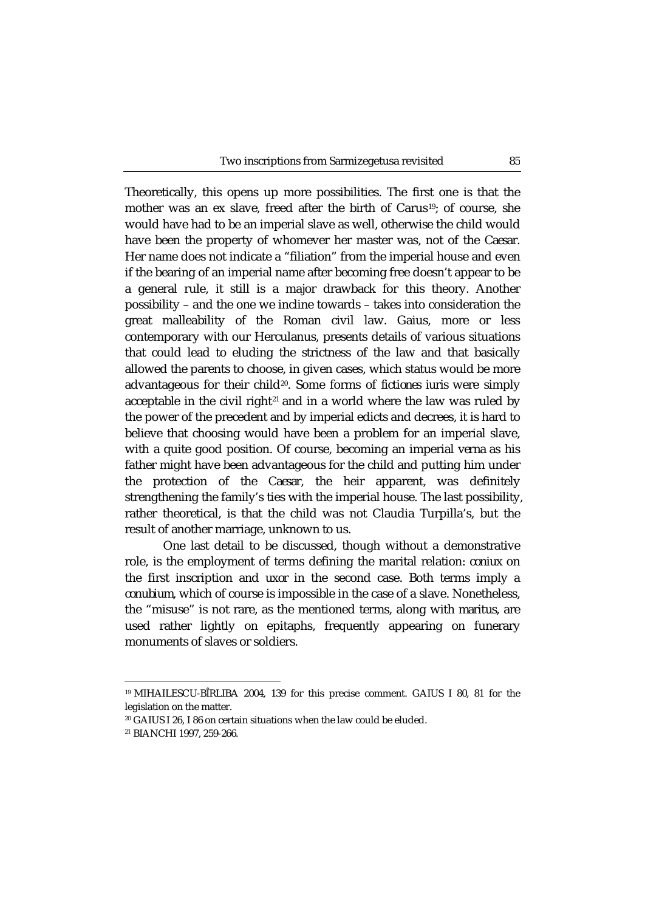Theoretically, this opens up more possibilities. The first one is that the mother was an ex slave, freed after the birth of Carus<sup>19</sup>; of course, she would have had to be an imperial slave as well, otherwise the child would have been the property of whomever her master was, not of the *Caesar.* Her name does not indicate a "filiation" from the imperial house and even if the bearing of an imperial name after becoming free doesn't appear to be a general rule, it still is a major drawback for this theory. Another possibility – and the one we incline towards – takes into consideration the great malleability of the Roman civil law. Gaius, more or less contemporary with our Herculanus, presents details of various situations that could lead to eluding the strictness of the law and that basically allowed the parents to choose, in given cases, which status would be more advantageous for their child20. Some forms of *fictiones iuris* were simply acceptable in the civil right $21$  and in a world where the law was ruled by the power of the precedent and by imperial edicts and decrees, it is hard to believe that choosing would have been a problem for an imperial slave, with a quite good position. Of course, becoming an imperial *verna* as his father might have been advantageous for the child and putting him under the protection of the *Caesar*, the heir apparent, was definitely strengthening the family's ties with the imperial house. The last possibility, rather theoretical, is that the child was not Claudia Turpilla's, but the result of another marriage, unknown to us.

One last detail to be discussed, though without a demonstrative role, is the employment of terms defining the marital relation: *coniux* on the first inscription and *uxor* in the second case. Both terms imply a *conubium*, which of course is impossible in the case of a slave. Nonetheless, the "misuse" is not rare, as the mentioned terms, along with *maritus*, are used rather lightly on epitaphs, frequently appearing on funerary monuments of slaves or soldiers.

**.** 

<sup>19</sup> MIHAILESCU-BÎRLIBA 2004, 139 for this precise comment. GAIUS I 80, 81 for the legislation on the matter.

<sup>20</sup> GAIUS I 26, I 86 on certain situations when the law could be eluded.

<sup>21</sup> BIANCHI 1997, 259-266.